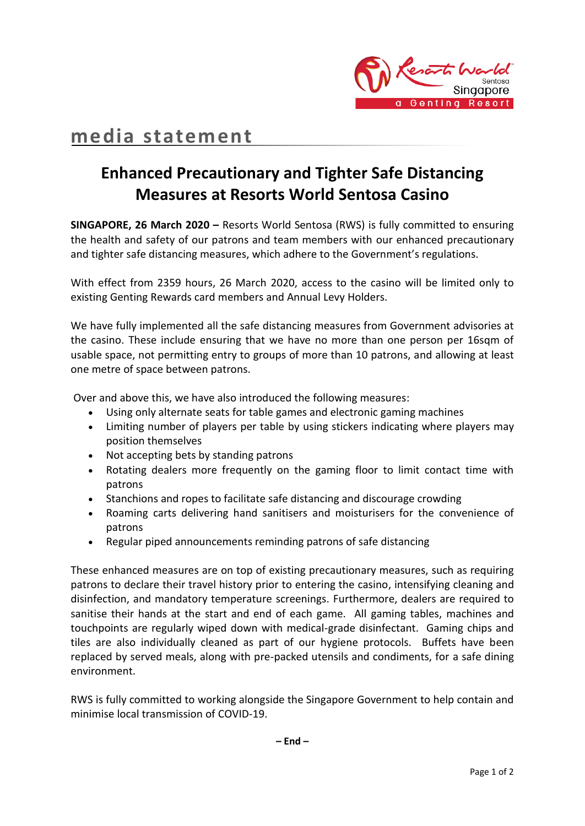

# **media statement**

## **Enhanced Precautionary and Tighter Safe Distancing Measures at Resorts World Sentosa Casino**

**SINGAPORE, 26 March 2020 –** Resorts World Sentosa (RWS) is fully committed to ensuring the health and safety of our patrons and team members with our enhanced precautionary and tighter safe distancing measures, which adhere to the Government's regulations.

With effect from 2359 hours, 26 March 2020, access to the casino will be limited only to existing Genting Rewards card members and Annual Levy Holders.

We have fully implemented all the safe distancing measures from Government advisories at the casino. These include ensuring that we have no more than one person per 16sqm of usable space, not permitting entry to groups of more than 10 patrons, and allowing at least one metre of space between patrons.

Over and above this, we have also introduced the following measures:

- Using only alternate seats for table games and electronic gaming machines
- Limiting number of players per table by using stickers indicating where players may position themselves
- Not accepting bets by standing patrons
- Rotating dealers more frequently on the gaming floor to limit contact time with patrons
- Stanchions and ropes to facilitate safe distancing and discourage crowding
- Roaming carts delivering hand sanitisers and moisturisers for the convenience of patrons
- Regular piped announcements reminding patrons of safe distancing

These enhanced measures are on top of existing precautionary measures, such as requiring patrons to declare their travel history prior to entering the casino, intensifying cleaning and disinfection, and mandatory temperature screenings. Furthermore, dealers are required to sanitise their hands at the start and end of each game. All gaming tables, machines and touchpoints are regularly wiped down with medical-grade disinfectant. Gaming chips and tiles are also individually cleaned as part of our hygiene protocols. Buffets have been replaced by served meals, along with pre-packed utensils and condiments, for a safe dining environment.

RWS is fully committed to working alongside the Singapore Government to help contain and minimise local transmission of COVID-19.

**– End –**